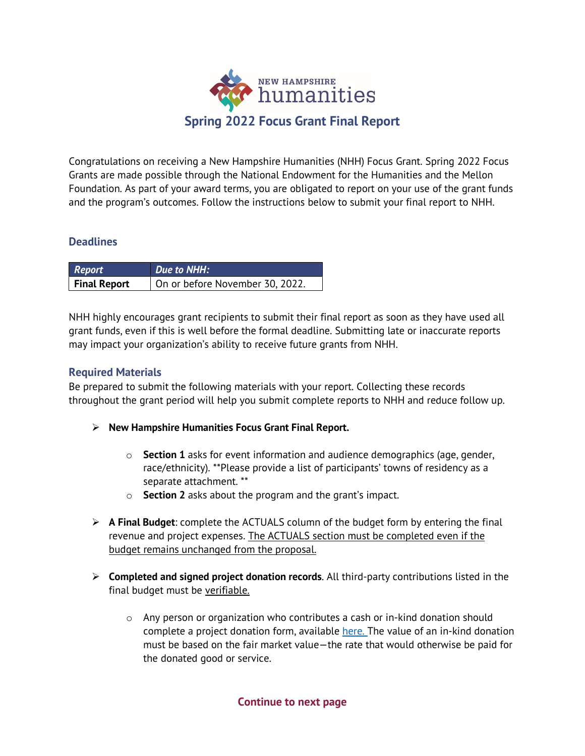

Congratulations on receiving a New Hampshire Humanities (NHH) Focus Grant. Spring 2022 Focus Grants are made possible through the National Endowment for the Humanities and the Mellon Foundation. As part of your award terms, you are obligated to report on your use of the grant funds and the program's outcomes. Follow the instructions below to submit your final report to NHH.

#### **Deadlines**

| Report              | Due to NHH:                     |
|---------------------|---------------------------------|
| <b>Final Report</b> | On or before November 30, 2022. |

NHH highly encourages grant recipients to submit their final report as soon as they have used all grant funds, even if this is well before the formal deadline. Submitting late or inaccurate reports may impact your organization's ability to receive future grants from NHH.

#### **Required Materials**

Be prepared to submit the following materials with your report. Collecting these records throughout the grant period will help you submit complete reports to NHH and reduce follow up.

- **New Hampshire Humanities Focus Grant Final Report.**
	- o **Section 1** asks for event information and audience demographics (age, gender, race/ethnicity). \*\*Please provide a list of participants' towns of residency as a separate attachment. \*\*
	- o **Section 2** asks about the program and the grant's impact.
- **A Final Budget**: complete the ACTUALS column of the budget form by entering the final revenue and project expenses. The ACTUALS section must be completed even if the budget remains unchanged from the proposal.
- **Completed and signed project donation records**. All third-party contributions listed in the final budget must be verifiable.
	- $\circ$  Any person or organization who contributes a cash or in-kind donation should complete a project donation form, available [here. T](https://www.nhhumanities.org/grants/administer-a-grant/)he value of an in-kind donation must be based on the fair market value—the rate that would otherwise be paid for the donated good or service.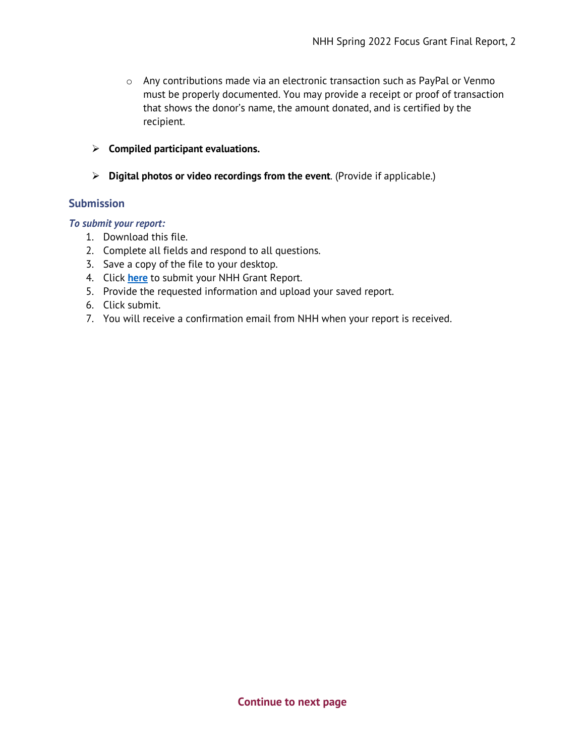- o Any contributions made via an electronic transaction such as PayPal or Venmo must be properly documented. You may provide a receipt or proof of transaction that shows the donor's name, the amount donated, and is certified by the recipient.
- **Compiled participant evaluations.**
- **Digital photos or video recordings from the event**. (Provide if applicable.)

#### **Submission**

#### *To submit your report:*

- 1. Download this file.
- 2. Complete all fields and respond to all questions.
- 3. Save a copy of the file to your desktop.
- 4. Click **[here](https://www.nhhumanities.org/grantreports)** to submit your NHH Grant Report.
- 5. Provide the requested information and upload your saved report.
- 6. Click submit.
- 7. You will receive a confirmation email from NHH when your report is received.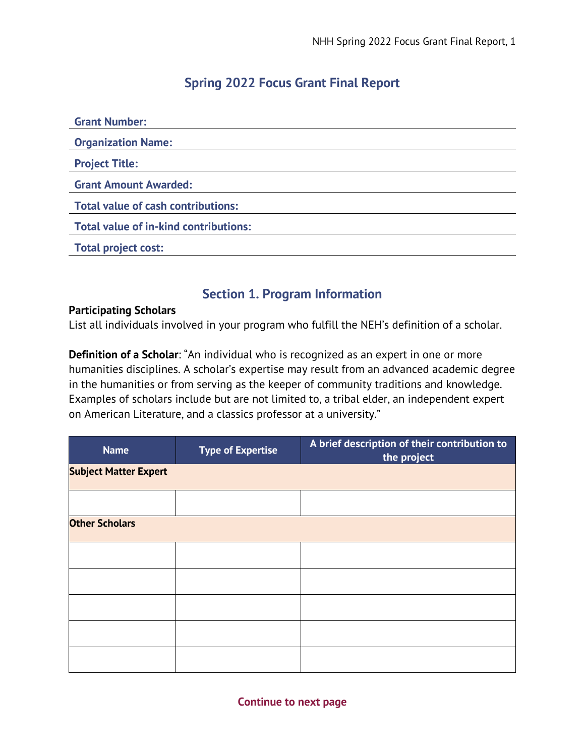## **Spring 2022 Focus Grant Final Report**

| <b>Grant Number:</b>                         |
|----------------------------------------------|
| <b>Organization Name:</b>                    |
| <b>Project Title:</b>                        |
| <b>Grant Amount Awarded:</b>                 |
| <b>Total value of cash contributions:</b>    |
| <b>Total value of in-kind contributions:</b> |
| <b>Total project cost:</b>                   |
|                                              |

## **Section 1. Program Information**

#### **Participating Scholars**

List all individuals involved in your program who fulfill the NEH's definition of a scholar.

**Definition of a Scholar**: "An individual who is recognized as an expert in one or more humanities disciplines. A scholar's expertise may result from an advanced academic degree in the humanities or from serving as the keeper of community traditions and knowledge. Examples of scholars include but are not limited to, a tribal elder, an independent expert on American Literature, and a classics professor at a university."

| <b>Name</b>                  | <b>Type of Expertise</b> | A brief description of their contribution to<br>the project |
|------------------------------|--------------------------|-------------------------------------------------------------|
| <b>Subject Matter Expert</b> |                          |                                                             |
|                              |                          |                                                             |
| <b>Other Scholars</b>        |                          |                                                             |
|                              |                          |                                                             |
|                              |                          |                                                             |
|                              |                          |                                                             |
|                              |                          |                                                             |
|                              |                          |                                                             |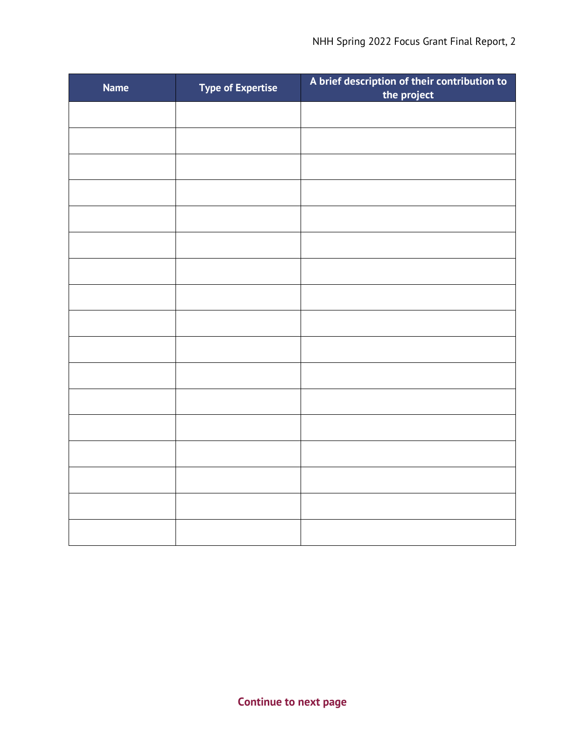| <b>Name</b> | <b>Type of Expertise</b> | A brief description of their contribution to<br>the project |
|-------------|--------------------------|-------------------------------------------------------------|
|             |                          |                                                             |
|             |                          |                                                             |
|             |                          |                                                             |
|             |                          |                                                             |
|             |                          |                                                             |
|             |                          |                                                             |
|             |                          |                                                             |
|             |                          |                                                             |
|             |                          |                                                             |
|             |                          |                                                             |
|             |                          |                                                             |
|             |                          |                                                             |
|             |                          |                                                             |
|             |                          |                                                             |
|             |                          |                                                             |
|             |                          |                                                             |
|             |                          |                                                             |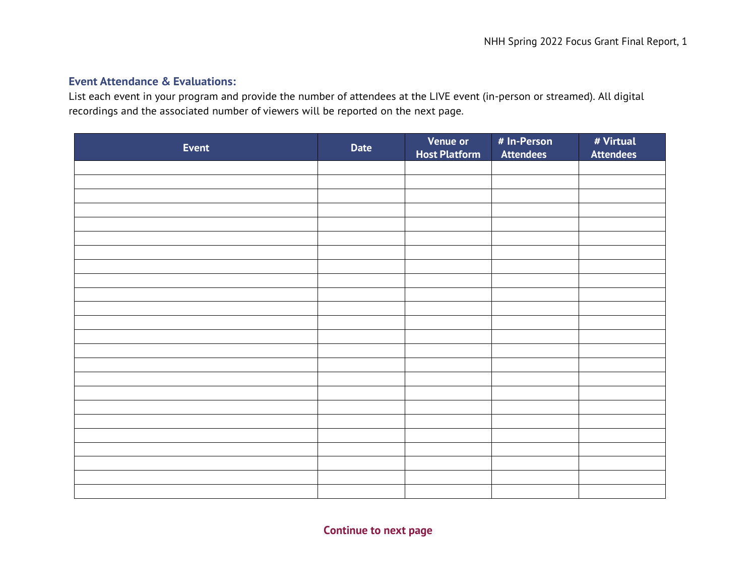## **Event Attendance & Evaluations:**

List each event in your program and provide the number of attendees at the LIVE event (in-person or streamed). All digital recordings and the associated number of viewers will be reported on the next page.

| <b>Event</b> | <b>Date</b> | <b>Venue or</b><br><b>Host Platform</b> | # In-Person<br><b>Attendees</b> | # Virtual<br><b>Attendees</b> |
|--------------|-------------|-----------------------------------------|---------------------------------|-------------------------------|
|              |             |                                         |                                 |                               |
|              |             |                                         |                                 |                               |
|              |             |                                         |                                 |                               |
|              |             |                                         |                                 |                               |
|              |             |                                         |                                 |                               |
|              |             |                                         |                                 |                               |
|              |             |                                         |                                 |                               |
|              |             |                                         |                                 |                               |
|              |             |                                         |                                 |                               |
|              |             |                                         |                                 |                               |
|              |             |                                         |                                 |                               |
|              |             |                                         |                                 |                               |
|              |             |                                         |                                 |                               |
|              |             |                                         |                                 |                               |
|              |             |                                         |                                 |                               |
|              |             |                                         |                                 |                               |
|              |             |                                         |                                 |                               |
|              |             |                                         |                                 |                               |
|              |             |                                         |                                 |                               |
|              |             |                                         |                                 |                               |
|              |             |                                         |                                 |                               |
|              |             |                                         |                                 |                               |
|              |             |                                         |                                 |                               |
|              |             |                                         |                                 |                               |

**Continue to next page**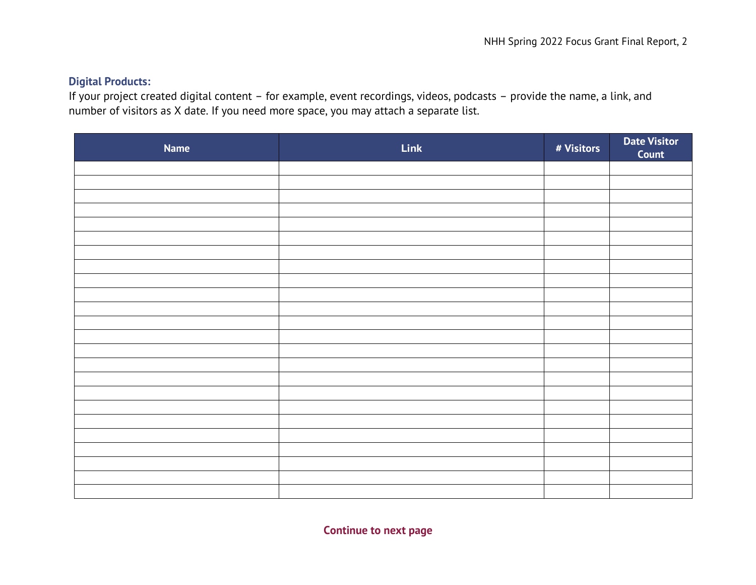## **Digital Products:**

If your project created digital content – for example, event recordings, videos, podcasts – provide the name, a link, and number of visitors as X date. If you need more space, you may attach a separate list.

| <b>Name</b> | Link | # Visitors | <b>Date Visitor</b><br>Count |
|-------------|------|------------|------------------------------|
|             |      |            |                              |
|             |      |            |                              |
|             |      |            |                              |
|             |      |            |                              |
|             |      |            |                              |
|             |      |            |                              |
|             |      |            |                              |
|             |      |            |                              |
|             |      |            |                              |
|             |      |            |                              |
|             |      |            |                              |
|             |      |            |                              |
|             |      |            |                              |
|             |      |            |                              |
|             |      |            |                              |
|             |      |            |                              |
|             |      |            |                              |
|             |      |            |                              |
|             |      |            |                              |
|             |      |            |                              |
|             |      |            |                              |
|             |      |            |                              |
|             |      |            |                              |

**Continue to next page**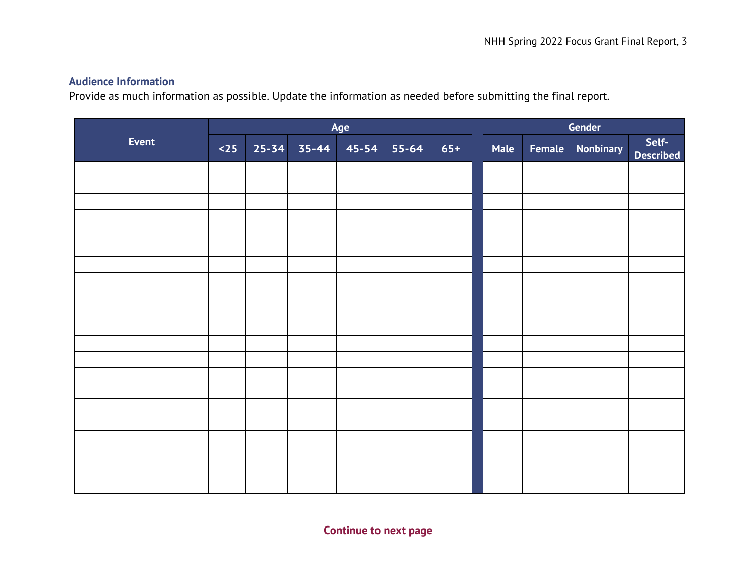## **Audience Information**

Provide as much information as possible. Update the information as needed before submitting the final report.

| <b>Event</b> | Age |  |                                             |  |  |       |      |        | Gender           |                           |
|--------------|-----|--|---------------------------------------------|--|--|-------|------|--------|------------------|---------------------------|
|              |     |  | $\left  25 \right $ 25-34 35-44 45-54 55-64 |  |  | $65+$ | Male | Female | <b>Nonbinary</b> | Self-<br><b>Described</b> |
|              |     |  |                                             |  |  |       |      |        |                  |                           |
|              |     |  |                                             |  |  |       |      |        |                  |                           |
|              |     |  |                                             |  |  |       |      |        |                  |                           |
|              |     |  |                                             |  |  |       |      |        |                  |                           |
|              |     |  |                                             |  |  |       |      |        |                  |                           |
|              |     |  |                                             |  |  |       |      |        |                  |                           |
|              |     |  |                                             |  |  |       |      |        |                  |                           |
|              |     |  |                                             |  |  |       |      |        |                  |                           |
|              |     |  |                                             |  |  |       |      |        |                  |                           |
|              |     |  |                                             |  |  |       |      |        |                  |                           |
|              |     |  |                                             |  |  |       |      |        |                  |                           |
|              |     |  |                                             |  |  |       |      |        |                  |                           |
|              |     |  |                                             |  |  |       |      |        |                  |                           |
|              |     |  |                                             |  |  |       |      |        |                  |                           |
|              |     |  |                                             |  |  |       |      |        |                  |                           |
|              |     |  |                                             |  |  |       |      |        |                  |                           |
|              |     |  |                                             |  |  |       |      |        |                  |                           |
|              |     |  |                                             |  |  |       |      |        |                  |                           |
|              |     |  |                                             |  |  |       |      |        |                  |                           |
|              |     |  |                                             |  |  |       |      |        |                  |                           |
|              |     |  |                                             |  |  |       |      |        |                  |                           |

**Continue to next page**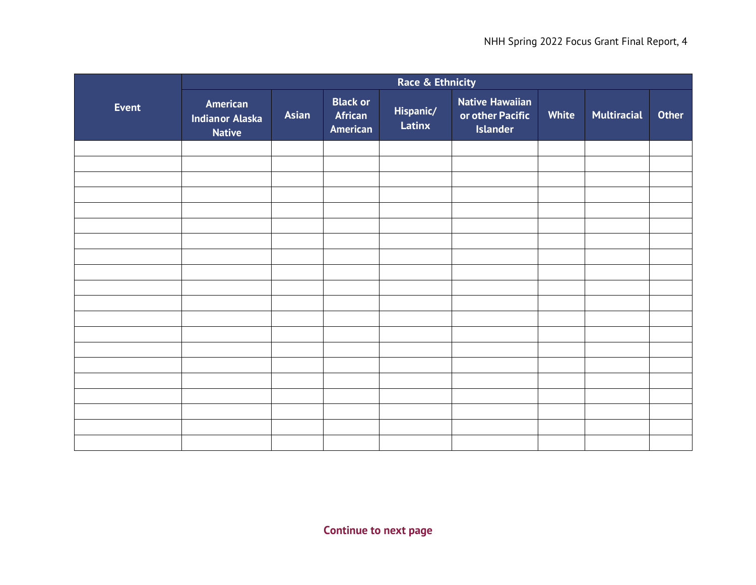|              | Race & Ethnicity                                    |       |                                        |                     |                                                               |       |                    |       |
|--------------|-----------------------------------------------------|-------|----------------------------------------|---------------------|---------------------------------------------------------------|-------|--------------------|-------|
| <b>Event</b> | American<br><b>Indianor Alaska</b><br><b>Native</b> | Asian | <b>Black or</b><br>African<br>American | Hispanic/<br>Latinx | <b>Native Hawaiian</b><br>or other Pacific<br><b>Islander</b> | White | <b>Multiracial</b> | Other |
|              |                                                     |       |                                        |                     |                                                               |       |                    |       |
|              |                                                     |       |                                        |                     |                                                               |       |                    |       |
|              |                                                     |       |                                        |                     |                                                               |       |                    |       |
|              |                                                     |       |                                        |                     |                                                               |       |                    |       |
|              |                                                     |       |                                        |                     |                                                               |       |                    |       |
|              |                                                     |       |                                        |                     |                                                               |       |                    |       |
|              |                                                     |       |                                        |                     |                                                               |       |                    |       |
|              |                                                     |       |                                        |                     |                                                               |       |                    |       |
|              |                                                     |       |                                        |                     |                                                               |       |                    |       |
|              |                                                     |       |                                        |                     |                                                               |       |                    |       |
|              |                                                     |       |                                        |                     |                                                               |       |                    |       |
|              |                                                     |       |                                        |                     |                                                               |       |                    |       |
|              |                                                     |       |                                        |                     |                                                               |       |                    |       |
|              |                                                     |       |                                        |                     |                                                               |       |                    |       |
|              |                                                     |       |                                        |                     |                                                               |       |                    |       |
|              |                                                     |       |                                        |                     |                                                               |       |                    |       |
|              |                                                     |       |                                        |                     |                                                               |       |                    |       |
|              |                                                     |       |                                        |                     |                                                               |       |                    |       |
|              |                                                     |       |                                        |                     |                                                               |       |                    |       |
|              |                                                     |       |                                        |                     |                                                               |       |                    |       |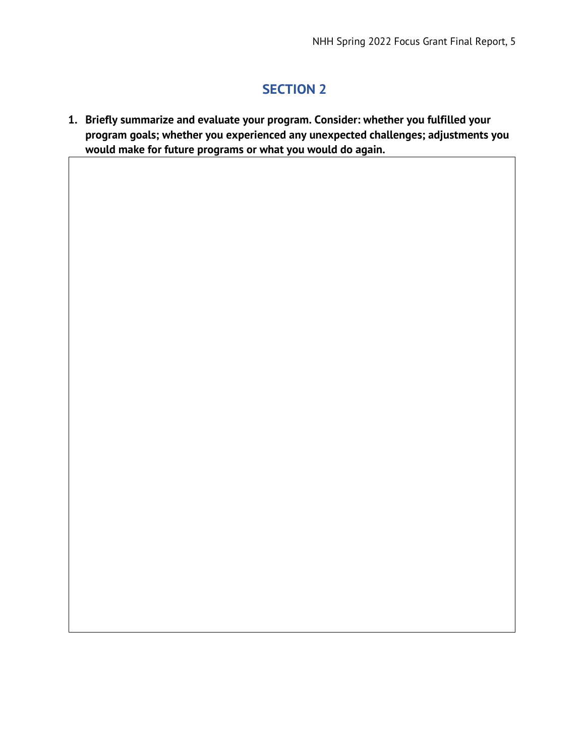# **SECTION 2**

**1. Briefly summarize and evaluate your program. Consider: whether you fulfilled your program goals; whether you experienced any unexpected challenges; adjustments you would make for future programs or what you would do again.**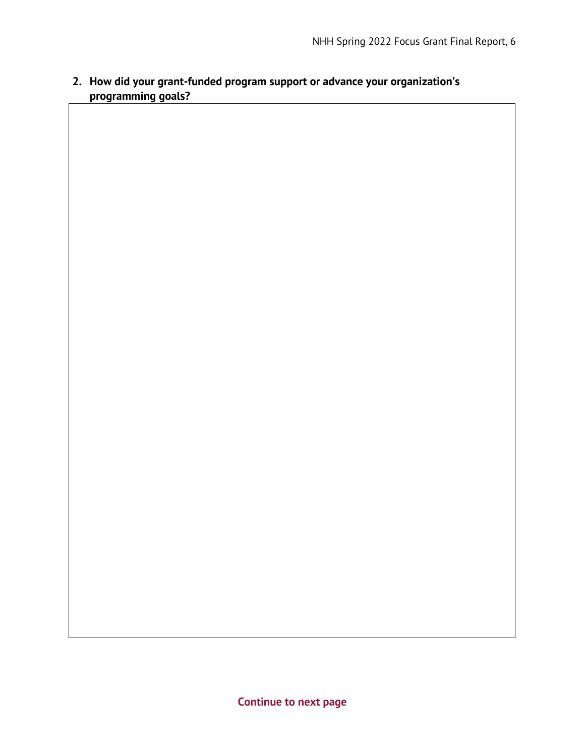# **2. How did your grant-funded program support or advance your organization's programming goals?**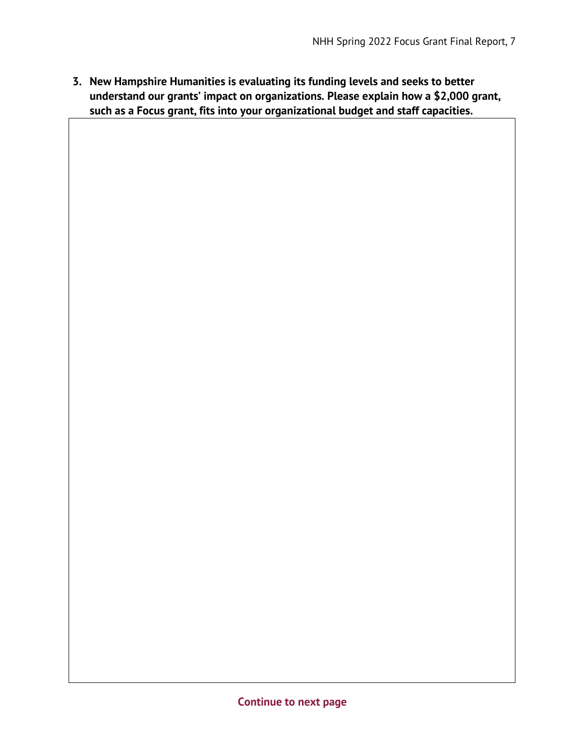**3. New Hampshire Humanities is evaluating its funding levels and seeks to better understand our grants' impact on organizations. Please explain how a \$2,000 grant, such as a Focus grant, fits into your organizational budget and staff capacities.**